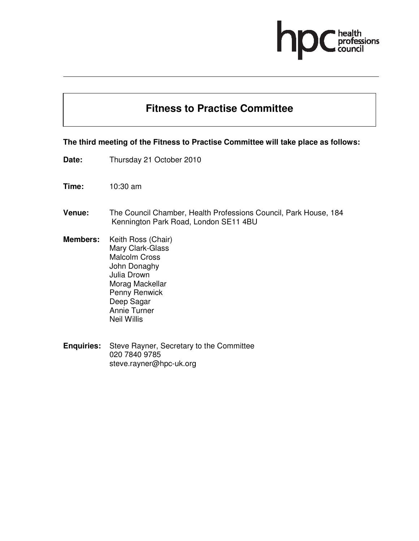# professions

## **Fitness to Practise Committee**

#### **The third meeting of the Fitness to Practise Committee will take place as follows:**

- **Date:** Thursday 21 October 2010
- **Time:** 10:30 am
- **Venue:** The Council Chamber, Health Professions Council, Park House, 184 Kennington Park Road, London SE11 4BU
- **Members:** Keith Ross (Chair) Mary Clark-Glass Malcolm Cross John Donaghy Julia Drown Morag Mackellar Penny Renwick Deep Sagar Annie Turner Neil Willis
- **Enquiries:** Steve Rayner, Secretary to the Committee 020 7840 9785 steve.rayner@hpc-uk.org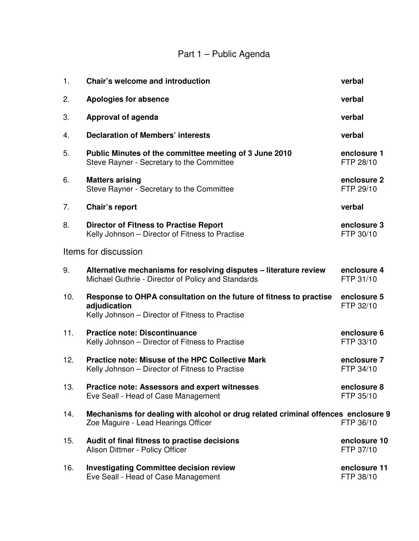## Part 1 – Public Agenda

| 1.  | <b>Chair's welcome and introduction</b>                                                                                               | verbal                    |
|-----|---------------------------------------------------------------------------------------------------------------------------------------|---------------------------|
| 2.  | <b>Apologies for absence</b>                                                                                                          | verbal                    |
| 3.  | Approval of agenda                                                                                                                    | verbal                    |
| 4.  | <b>Declaration of Members' interests</b>                                                                                              | verbal                    |
| 5.  | Public Minutes of the committee meeting of 3 June 2010<br>Steve Rayner - Secretary to the Committee                                   | enclosure 1<br>FTP 28/10  |
| 6.  | <b>Matters arising</b><br>Steve Rayner - Secretary to the Committee                                                                   | enclosure 2<br>FTP 29/10  |
| 7.  | Chair's report                                                                                                                        | verbal                    |
| 8.  | <b>Director of Fitness to Practise Report</b><br>Kelly Johnson - Director of Fitness to Practise                                      | enclosure 3<br>FTP 30/10  |
|     | Items for discussion                                                                                                                  |                           |
| 9.  | Alternative mechanisms for resolving disputes - literature review<br>Michael Guthrie - Director of Policy and Standards               | enclosure 4<br>FTP 31/10  |
| 10. | Response to OHPA consultation on the future of fitness to practise<br>adjudication<br>Kelly Johnson - Director of Fitness to Practise | enclosure 5<br>FTP 32/10  |
| 11. | <b>Practice note: Discontinuance</b><br>Kelly Johnson - Director of Fitness to Practise                                               | enclosure 6<br>FTP 33/10  |
| 12. | <b>Practice note: Misuse of the HPC Collective Mark</b><br>Kelly Johnson - Director of Fitness to Practise                            | enclosure 7<br>FTP 34/10  |
| 13. | <b>Practice note: Assessors and expert witnesses</b><br>Eve Seall - Head of Case Management                                           | enclosure 8<br>FTP 35/10  |
| 14. | Mechanisms for dealing with alcohol or drug related criminal offences enclosure 9<br>Zoe Maguire - Lead Hearings Officer              | FTP 36/10                 |
| 15. | Audit of final fitness to practise decisions<br>Alison Dittmer - Policy Officer                                                       | enclosure 10<br>FTP 37/10 |
| 16. | <b>Investigating Committee decision review</b><br>Eve Seall - Head of Case Management                                                 | enclosure 11<br>FTP 38/10 |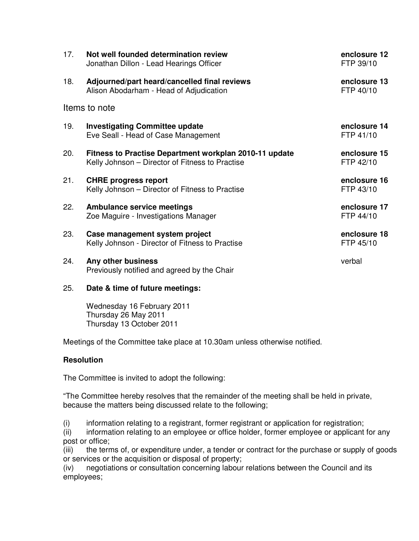| 17.           | Not well founded determination review<br>Jonathan Dillon - Lead Hearings Officer                          | enclosure 12<br>FTP 39/10 |  |  |
|---------------|-----------------------------------------------------------------------------------------------------------|---------------------------|--|--|
| 18.           | Adjourned/part heard/cancelled final reviews<br>Alison Abodarham - Head of Adjudication                   | enclosure 13<br>FTP 40/10 |  |  |
| Items to note |                                                                                                           |                           |  |  |
| 19.           | <b>Investigating Committee update</b><br>Eve Seall - Head of Case Management                              | enclosure 14<br>FTP 41/10 |  |  |
| 20.           | Fitness to Practise Department workplan 2010-11 update<br>Kelly Johnson – Director of Fitness to Practise | enclosure 15<br>FTP 42/10 |  |  |
| 21.           | <b>CHRE</b> progress report<br>Kelly Johnson – Director of Fitness to Practise                            | enclosure 16<br>FTP 43/10 |  |  |
| 22.           | <b>Ambulance service meetings</b><br>Zoe Maguire - Investigations Manager                                 | enclosure 17<br>FTP 44/10 |  |  |
| 23.           | Case management system project<br>Kelly Johnson - Director of Fitness to Practise                         | enclosure 18<br>FTP 45/10 |  |  |
| 24.           | Any other business<br>Previously notified and agreed by the Chair                                         | verbal                    |  |  |

### 25. **Date & time of future meetings:**

Wednesday 16 February 2011 Thursday 26 May 2011 Thursday 13 October 2011

Meetings of the Committee take place at 10.30am unless otherwise notified.

## **Resolution**

The Committee is invited to adopt the following:

"The Committee hereby resolves that the remainder of the meeting shall be held in private, because the matters being discussed relate to the following;

(i) information relating to a registrant, former registrant or application for registration;

(ii) information relating to an employee or office holder, former employee or applicant for any post or office;

(iii) the terms of, or expenditure under, a tender or contract for the purchase or supply of goods or services or the acquisition or disposal of property;

(iv) negotiations or consultation concerning labour relations between the Council and its employees;